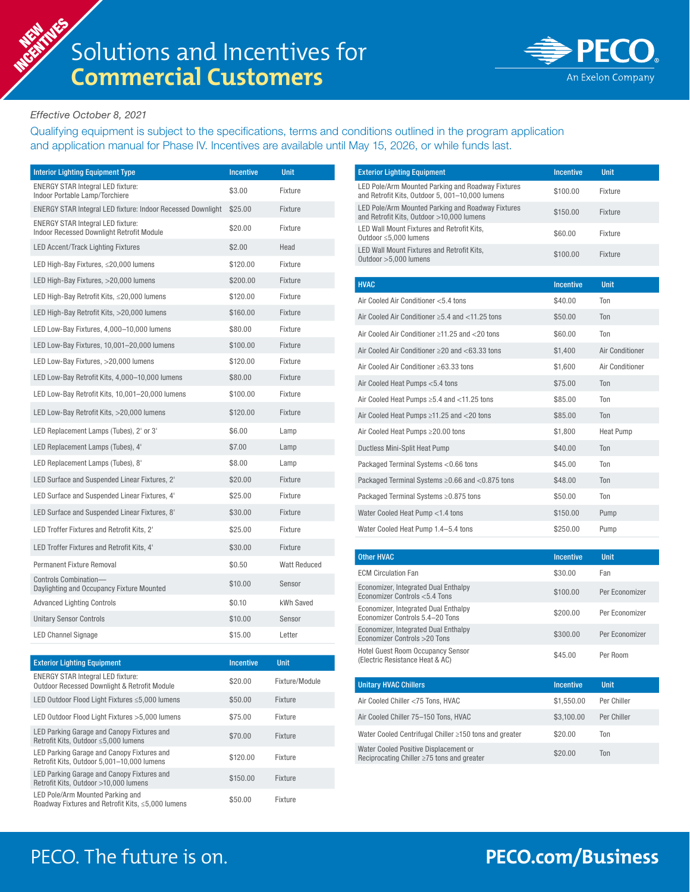

## *Effective October 8, 2021*

Qualifying equipment is subject to the specifications, terms and conditions outlined in the program application and application manual for Phase IV. Incentives are available until May 15, 2026, or while funds last.

| <b>Interior Lighting Equipment Type</b>                                               | <b>Incentive</b> | <b>Unit</b>  |
|---------------------------------------------------------------------------------------|------------------|--------------|
| <b>ENERGY STAR Integral LED fixture:</b><br>Indoor Portable Lamp/Torchiere            | \$3.00           | Fixture      |
| <b>ENERGY STAR Integral LED fixture: Indoor Recessed Downlight</b>                    | \$25.00          | Fixture      |
| <b>ENERGY STAR Integral LED fixture:</b><br>Indoor Recessed Downlight Retrofit Module | \$20.00          | Fixture      |
| LED Accent/Track Lighting Fixtures                                                    | \$2.00           | Head         |
| LED High-Bay Fixtures, ≤20,000 lumens                                                 | \$120.00         | Fixture      |
| LED High-Bay Fixtures, >20,000 lumens                                                 | \$200.00         | Fixture      |
| LED High-Bay Retrofit Kits, ≤20,000 lumens                                            | \$120.00         | Fixture      |
| LED High-Bay Retrofit Kits, >20,000 lumens                                            | \$160.00         | Fixture      |
| LED Low-Bay Fixtures, 4,000-10,000 lumens                                             | \$80.00          | Fixture      |
| LED Low-Bay Fixtures, 10,001-20,000 lumens                                            | \$100.00         | Fixture      |
| LED Low-Bay Fixtures, >20,000 lumens                                                  | \$120.00         | Fixture      |
| LED Low-Bay Retrofit Kits, 4,000-10,000 lumens                                        | \$80.00          | Fixture      |
| LED Low-Bay Retrofit Kits, 10,001-20,000 lumens                                       | \$100.00         | Fixture      |
| LED Low-Bay Retrofit Kits, >20,000 lumens                                             | \$120.00         | Fixture      |
| LED Replacement Lamps (Tubes), 2' or 3'                                               | \$6.00           | Lamp         |
| LED Replacement Lamps (Tubes), 4'                                                     | \$7.00           | Lamp         |
| LED Replacement Lamps (Tubes), 8'                                                     | \$8.00           | Lamp         |
| LED Surface and Suspended Linear Fixtures, 2'                                         | \$20.00          | Fixture      |
| LED Surface and Suspended Linear Fixtures, 4'                                         | \$25.00          | Fixture      |
| LED Surface and Suspended Linear Fixtures, 8'                                         | \$30.00          | Fixture      |
| LED Troffer Fixtures and Retrofit Kits, 2'                                            | \$25.00          | Fixture      |
| LED Troffer Fixtures and Retrofit Kits, 4'                                            | \$30.00          | Fixture      |
| Permanent Fixture Removal                                                             | \$0.50           | Watt Reduced |
| Controls Combination-<br>Daylighting and Occupancy Fixture Mounted                    | \$10.00          | Sensor       |
| <b>Advanced Lighting Controls</b>                                                     | \$0.10           | kWh Saved    |
| <b>Unitary Sensor Controls</b>                                                        | \$10.00          | Sensor       |
| <b>LED Channel Signage</b>                                                            | \$15.00          | Letter       |

| <b>Exterior Lighting Equipment</b>                                                       | <b>Incentive</b> | <b>Unit</b>    |
|------------------------------------------------------------------------------------------|------------------|----------------|
| <b>ENERGY STAR Integral LED fixture:</b><br>Outdoor Recessed Downlight & Retrofit Module | \$20.00          | Fixture/Module |
| LED Outdoor Flood Light Fixtures ≤5,000 lumens                                           | \$50.00          | Fixture        |
| LED Outdoor Flood Light Fixtures > 5,000 lumens                                          | \$75.00          | Fixture        |
| LED Parking Garage and Canopy Fixtures and<br>Retrofit Kits, Outdoor ≤5,000 lumens       | \$70.00          | Fixture        |
| LED Parking Garage and Canopy Fixtures and<br>Retrofit Kits. Outdoor 5.001-10.000 lumens | \$120.00         | Fixture        |
| LED Parking Garage and Canopy Fixtures and<br>Retrofit Kits. Outdoor >10.000 lumens      | \$150.00         | Fixture        |
| LED Pole/Arm Mounted Parking and<br>Roadway Fixtures and Retrofit Kits, ≤5,000 lumens    | \$50.00          | Fixture        |

| <b>Exterior Lighting Equipment</b>                                                                   | <b>Incentive</b> | <b>Unit</b>     |
|------------------------------------------------------------------------------------------------------|------------------|-----------------|
| LED Pole/Arm Mounted Parking and Roadway Fixtures<br>and Retrofit Kits, Outdoor 5, 001-10,000 lumens | \$100.00         | Fixture         |
| LED Pole/Arm Mounted Parking and Roadway Fixtures<br>and Retrofit Kits, Outdoor >10,000 lumens       | \$150.00         | Fixture         |
| LED Wall Mount Fixtures and Retrofit Kits,<br>Outdoor ≤5,000 lumens                                  | \$60.00          | Fixture         |
| LED Wall Mount Fixtures and Retrofit Kits,<br>Outdoor >5,000 lumens                                  | \$100.00         | Fixture         |
|                                                                                                      |                  |                 |
| <b>HVAC</b>                                                                                          | <b>Incentive</b> | <b>Unit</b>     |
| Air Cooled Air Conditioner <5.4 tons                                                                 | \$40.00          | Ton             |
| Air Cooled Air Conditioner $\geq$ 5.4 and < 11.25 tons                                               | \$50.00          | Ton             |
| Air Cooled Air Conditioner ≥11.25 and <20 tons                                                       | \$60.00          | Ton             |
| Air Cooled Air Conditioner ≥20 and <63.33 tons                                                       | \$1,400          | Air Conditioner |
| Air Cooled Air Conditioner ≥63.33 tons                                                               | \$1,600          | Air Conditioner |
| Air Cooled Heat Pumps <5.4 tons                                                                      | \$75.00          | Ton             |
| Air Cooled Heat Pumps $\geq$ 5.4 and $<$ 11.25 tons                                                  | \$85.00          | Ton             |
| Air Cooled Heat Pumps ≥11.25 and <20 tons                                                            | \$85.00          | Ton             |
| Air Cooled Heat Pumps ≥20.00 tons                                                                    | \$1,800          | Heat Pump       |
| Ductless Mini-Split Heat Pump                                                                        | \$40.00          | Ton             |
| Packaged Terminal Systems < 0.66 tons                                                                | \$45.00          | Ton             |
| Packaged Terminal Systems $\geq$ 0.66 and $<$ 0.875 tons                                             | \$48.00          | Ton             |
| Packaged Terminal Systems ≥0.875 tons                                                                | \$50.00          | Ton             |
| Water Cooled Heat Pump <1.4 tons                                                                     | \$150.00         | Pump            |
| Water Cooled Heat Pump 1.4-5.4 tons                                                                  | \$250.00         | Pump            |
|                                                                                                      |                  |                 |
| <b>Other HVAC</b>                                                                                    | <b>Incentive</b> | <b>Unit</b>     |
| <b>ECM Circulation Fan</b>                                                                           | \$30.00          | Fan             |
| Economizer, Integrated Dual Enthalpy<br>Economizer Controls <5.4 Tons                                | \$100.00         | Per Economizer  |
| Economizer, Integrated Dual Enthalpy<br>Economizer Controls 5.4-20 Tons                              | \$200.00         | Per Economizer  |
| Economizer, Integrated Dual Enthalpy<br>Economizer Controls >20 Tons                                 | \$300.00         | Per Economizer  |
| <b>Hotel Guest Room Occupancy Sensor</b><br>(Electric Resistance Heat & AC)                          | \$45.00          | Per Room        |
| <b>Unitary HVAC Chillers</b>                                                                         | <b>Incentive</b> | <b>Unit</b>     |
| Air Cooled Chiller <75 Tons, HVAC                                                                    | \$1,550.00       | Per Chiller     |
| Air Cooled Chiller 75-150 Tons, HVAC                                                                 | \$3,100.00       | Per Chiller     |
| Water Cooled Centrifugal Chiller ≥150 tons and greater                                               | \$20.00          | Ton             |
| Water Cooled Positive Displacement or<br>Reciprocating Chiller ≥75 tons and greater                  | \$20.00          | Ton             |

## PECO. The future is on. **PEC[O.com/](http://PECO.com/Business)Business**